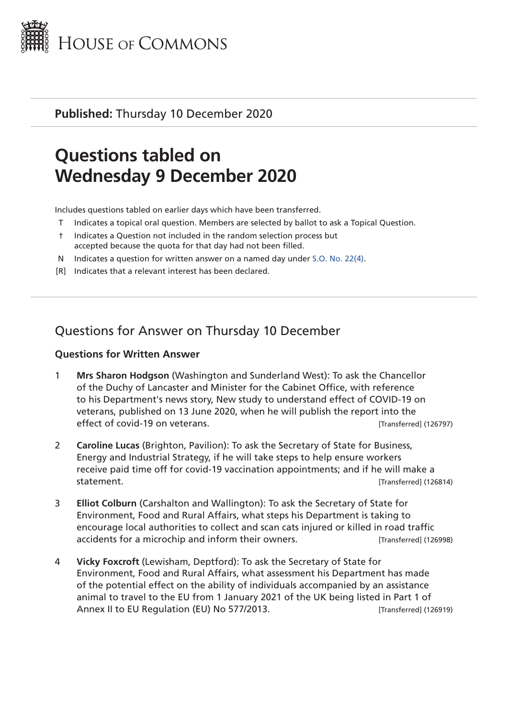

**Published:** Thursday 10 December 2020

# **Questions tabled on Wednesday 9 December 2020**

Includes questions tabled on earlier days which have been transferred.

- Indicates a topical oral question. Members are selected by ballot to ask a Topical Question.
- † Indicates a Question not included in the random selection process but accepted because the quota for that day had not been filled.
- N Indicates a question for written answer on a named day under [S.O. No. 22\(4\)](http://publications.parliament.uk/pa/cm201719/cmstords/0004/body.html#22(4)).
- [R] Indicates that a relevant interest has been declared.

## Questions for Answer on Thursday 10 December

#### **Questions for Written Answer**

- 1 **Mrs Sharon Hodgson** (Washington and Sunderland West): To ask the Chancellor of the Duchy of Lancaster and Minister for the Cabinet Office, with reference to his Department's news story, New study to understand effect of COVID-19 on veterans, published on 13 June 2020, when he will publish the report into the effect of covid-19 on veterans.  $[Transfered] (126797)$
- 2 **Caroline Lucas** (Brighton, Pavilion): To ask the Secretary of State for Business, Energy and Industrial Strategy, if he will take steps to help ensure workers receive paid time off for covid-19 vaccination appointments; and if he will make a statement. [Transferred] (126814)
- 3 **Elliot Colburn** (Carshalton and Wallington): To ask the Secretary of State for Environment, Food and Rural Affairs, what steps his Department is taking to encourage local authorities to collect and scan cats injured or killed in road traffic accidents for a microchip and inform their owners. The later of the last result (126998)
- 4 **Vicky Foxcroft** (Lewisham, Deptford): To ask the Secretary of State for Environment, Food and Rural Affairs, what assessment his Department has made of the potential effect on the ability of individuals accompanied by an assistance animal to travel to the EU from 1 January 2021 of the UK being listed in Part 1 of Annex II to EU Regulation (EU) No 577/2013. [Transferred] (126919)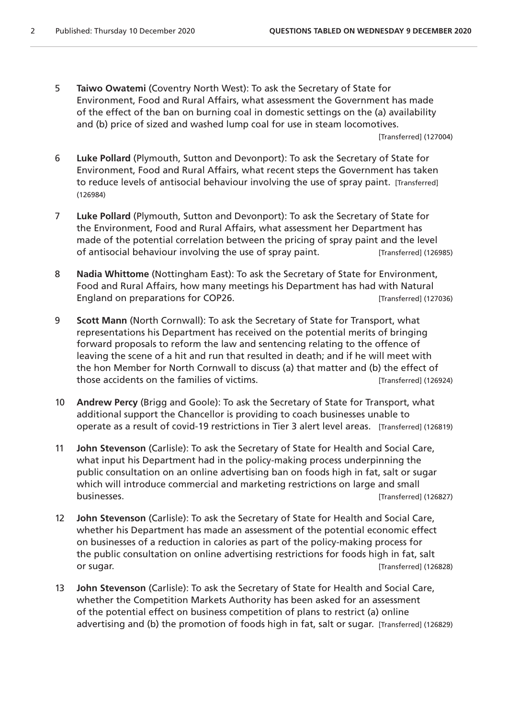5 **Taiwo Owatemi** (Coventry North West): To ask the Secretary of State for Environment, Food and Rural Affairs, what assessment the Government has made of the effect of the ban on burning coal in domestic settings on the (a) availability and (b) price of sized and washed lump coal for use in steam locomotives.

[Transferred] (127004)

- 6 **Luke Pollard** (Plymouth, Sutton and Devonport): To ask the Secretary of State for Environment, Food and Rural Affairs, what recent steps the Government has taken to reduce levels of antisocial behaviour involving the use of spray paint. [Transferred] (126984)
- 7 **Luke Pollard** (Plymouth, Sutton and Devonport): To ask the Secretary of State for the Environment, Food and Rural Affairs, what assessment her Department has made of the potential correlation between the pricing of spray paint and the level of antisocial behaviour involving the use of spray paint. [Transferred] (126985)
- 8 **Nadia Whittome** (Nottingham East): To ask the Secretary of State for Environment, Food and Rural Affairs, how many meetings his Department has had with Natural England on preparations for COP26. The state of the contract on preparations for COP26.
- 9 **Scott Mann** (North Cornwall): To ask the Secretary of State for Transport, what representations his Department has received on the potential merits of bringing forward proposals to reform the law and sentencing relating to the offence of leaving the scene of a hit and run that resulted in death; and if he will meet with the hon Member for North Cornwall to discuss (a) that matter and (b) the effect of those accidents on the families of victims. The state of the state of the state of victims.
- 10 **Andrew Percy** (Brigg and Goole): To ask the Secretary of State for Transport, what additional support the Chancellor is providing to coach businesses unable to operate as a result of covid-19 restrictions in Tier 3 alert level areas. [Transferred] (126819)
- 11 **John Stevenson** (Carlisle): To ask the Secretary of State for Health and Social Care, what input his Department had in the policy-making process underpinning the public consultation on an online advertising ban on foods high in fat, salt or sugar which will introduce commercial and marketing restrictions on large and small businesses. [Transferred] (126827)
- 12 **John Stevenson** (Carlisle): To ask the Secretary of State for Health and Social Care, whether his Department has made an assessment of the potential economic effect on businesses of a reduction in calories as part of the policy-making process for the public consultation on online advertising restrictions for foods high in fat, salt or sugar. [Transferred] (126828)
- 13 **John Stevenson** (Carlisle): To ask the Secretary of State for Health and Social Care, whether the Competition Markets Authority has been asked for an assessment of the potential effect on business competition of plans to restrict (a) online advertising and (b) the promotion of foods high in fat, salt or sugar. [Transferred] (126829)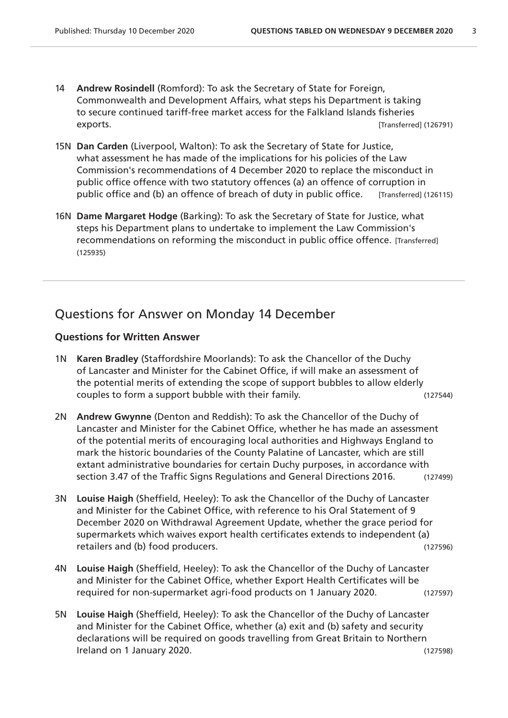- 14 **Andrew Rosindell** (Romford): To ask the Secretary of State for Foreign, Commonwealth and Development Affairs, what steps his Department is taking to secure continued tariff-free market access for the Falkland Islands fisheries exports. [Transferred] (126791)
- 15N **Dan Carden** (Liverpool, Walton): To ask the Secretary of State for Justice, what assessment he has made of the implications for his policies of the Law Commission's recommendations of 4 December 2020 to replace the misconduct in public office offence with two statutory offences (a) an offence of corruption in public office and (b) an offence of breach of duty in public office. [Transferred] (126115)
- 16N **Dame Margaret Hodge** (Barking): To ask the Secretary of State for Justice, what steps his Department plans to undertake to implement the Law Commission's recommendations on reforming the misconduct in public office offence. [Transferred] (125935)

## Questions for Answer on Monday 14 December

#### **Questions for Written Answer**

- 1N **Karen Bradley** (Staffordshire Moorlands): To ask the Chancellor of the Duchy of Lancaster and Minister for the Cabinet Office, if will make an assessment of the potential merits of extending the scope of support bubbles to allow elderly couples to form a support bubble with their family. (127544)
- 2N **Andrew Gwynne** (Denton and Reddish): To ask the Chancellor of the Duchy of Lancaster and Minister for the Cabinet Office, whether he has made an assessment of the potential merits of encouraging local authorities and Highways England to mark the historic boundaries of the County Palatine of Lancaster, which are still extant administrative boundaries for certain Duchy purposes, in accordance with section 3.47 of the Traffic Signs Regulations and General Directions 2016. (127499)
- 3N **Louise Haigh** (Sheffield, Heeley): To ask the Chancellor of the Duchy of Lancaster and Minister for the Cabinet Office, with reference to his Oral Statement of 9 December 2020 on Withdrawal Agreement Update, whether the grace period for supermarkets which waives export health certificates extends to independent (a) retailers and (b) food producers. (127596)
- 4N **Louise Haigh** (Sheffield, Heeley): To ask the Chancellor of the Duchy of Lancaster and Minister for the Cabinet Office, whether Export Health Certificates will be required for non-supermarket agri-food products on 1 January 2020. (127597)
- 5N **Louise Haigh** (Sheffield, Heeley): To ask the Chancellor of the Duchy of Lancaster and Minister for the Cabinet Office, whether (a) exit and (b) safety and security declarations will be required on goods travelling from Great Britain to Northern Ireland on 1 January 2020. (127598)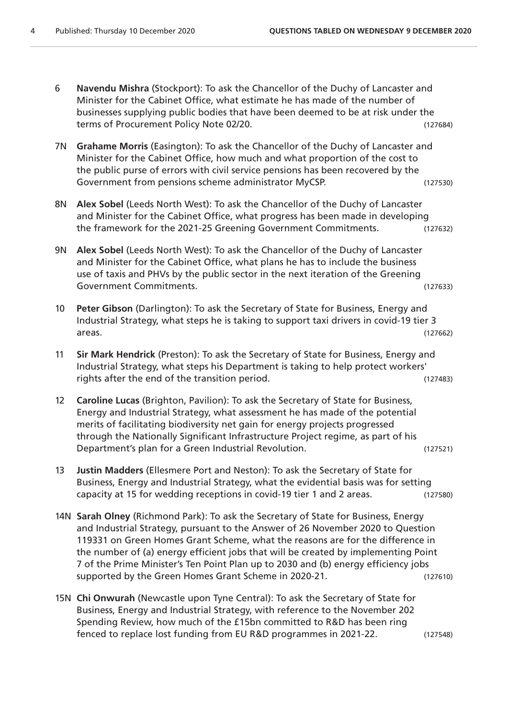- 6 **Navendu Mishra** (Stockport): To ask the Chancellor of the Duchy of Lancaster and Minister for the Cabinet Office, what estimate he has made of the number of businesses supplying public bodies that have been deemed to be at risk under the terms of Procurement Policy Note 02/20. (127684)
- 7N **Grahame Morris** (Easington): To ask the Chancellor of the Duchy of Lancaster and Minister for the Cabinet Office, how much and what proportion of the cost to the public purse of errors with civil service pensions has been recovered by the Government from pensions scheme administrator MyCSP. (127530)
- 8N **Alex Sobel** (Leeds North West): To ask the Chancellor of the Duchy of Lancaster and Minister for the Cabinet Office, what progress has been made in developing the framework for the 2021-25 Greening Government Commitments. (127632)
- 9N **Alex Sobel** (Leeds North West): To ask the Chancellor of the Duchy of Lancaster and Minister for the Cabinet Office, what plans he has to include the business use of taxis and PHVs by the public sector in the next iteration of the Greening Government Commitments. (127633)
- 10 **Peter Gibson** (Darlington): To ask the Secretary of State for Business, Energy and Industrial Strategy, what steps he is taking to support taxi drivers in covid-19 tier 3 areas. (127662)
- 11 **Sir Mark Hendrick** (Preston): To ask the Secretary of State for Business, Energy and Industrial Strategy, what steps his Department is taking to help protect workers' rights after the end of the transition period. (127483)
- 12 **Caroline Lucas** (Brighton, Pavilion): To ask the Secretary of State for Business, Energy and Industrial Strategy, what assessment he has made of the potential merits of facilitating biodiversity net gain for energy projects progressed through the Nationally Significant Infrastructure Project regime, as part of his Department's plan for a Green Industrial Revolution. (127521)
- 13 **Justin Madders** (Ellesmere Port and Neston): To ask the Secretary of State for Business, Energy and Industrial Strategy, what the evidential basis was for setting capacity at 15 for wedding receptions in covid-19 tier 1 and 2 areas. (127580)
- 14N **Sarah Olney** (Richmond Park): To ask the Secretary of State for Business, Energy and Industrial Strategy, pursuant to the Answer of 26 November 2020 to Question 119331 on Green Homes Grant Scheme, what the reasons are for the difference in the number of (a) energy efficient jobs that will be created by implementing Point 7 of the Prime Minister's Ten Point Plan up to 2030 and (b) energy efficiency jobs supported by the Green Homes Grant Scheme in 2020-21. (127610)
- 15N **Chi Onwurah** (Newcastle upon Tyne Central): To ask the Secretary of State for Business, Energy and Industrial Strategy, with reference to the November 202 Spending Review, how much of the £15bn committed to R&D has been ring fenced to replace lost funding from EU R&D programmes in 2021-22. (127548)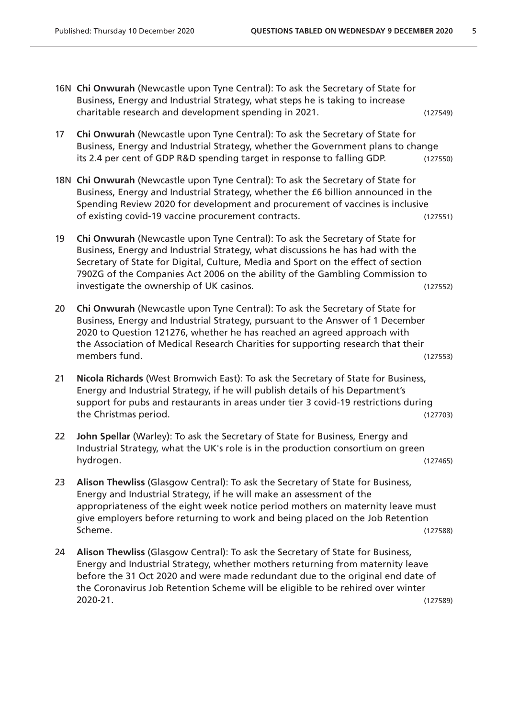- 16N **Chi Onwurah** (Newcastle upon Tyne Central): To ask the Secretary of State for Business, Energy and Industrial Strategy, what steps he is taking to increase charitable research and development spending in 2021. (127549)
- 17 **Chi Onwurah** (Newcastle upon Tyne Central): To ask the Secretary of State for Business, Energy and Industrial Strategy, whether the Government plans to change its 2.4 per cent of GDP R&D spending target in response to falling GDP. (127550)
- 18N **Chi Onwurah** (Newcastle upon Tyne Central): To ask the Secretary of State for Business, Energy and Industrial Strategy, whether the £6 billion announced in the Spending Review 2020 for development and procurement of vaccines is inclusive of existing covid-19 vaccine procurement contracts. (127551)
- 19 **Chi Onwurah** (Newcastle upon Tyne Central): To ask the Secretary of State for Business, Energy and Industrial Strategy, what discussions he has had with the Secretary of State for Digital, Culture, Media and Sport on the effect of section 790ZG of the Companies Act 2006 on the ability of the Gambling Commission to investigate the ownership of UK casinos. (127552)
- 20 **Chi Onwurah** (Newcastle upon Tyne Central): To ask the Secretary of State for Business, Energy and Industrial Strategy, pursuant to the Answer of 1 December 2020 to Question 121276, whether he has reached an agreed approach with the Association of Medical Research Charities for supporting research that their members fund. (127553)
- 21 **Nicola Richards** (West Bromwich East): To ask the Secretary of State for Business, Energy and Industrial Strategy, if he will publish details of his Department's support for pubs and restaurants in areas under tier 3 covid-19 restrictions during the Christmas period. (127703)
- 22 **John Spellar** (Warley): To ask the Secretary of State for Business, Energy and Industrial Strategy, what the UK's role is in the production consortium on green hydrogen. (127465)
- 23 **Alison Thewliss** (Glasgow Central): To ask the Secretary of State for Business, Energy and Industrial Strategy, if he will make an assessment of the appropriateness of the eight week notice period mothers on maternity leave must give employers before returning to work and being placed on the Job Retention Scheme. (127588)
- 24 **Alison Thewliss** (Glasgow Central): To ask the Secretary of State for Business, Energy and Industrial Strategy, whether mothers returning from maternity leave before the 31 Oct 2020 and were made redundant due to the original end date of the Coronavirus Job Retention Scheme will be eligible to be rehired over winter 2020-21. (127589)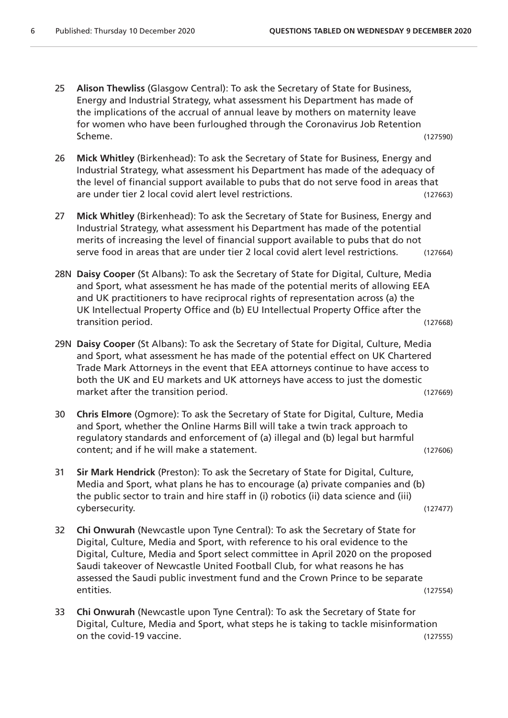- 25 **Alison Thewliss** (Glasgow Central): To ask the Secretary of State for Business, Energy and Industrial Strategy, what assessment his Department has made of the implications of the accrual of annual leave by mothers on maternity leave for women who have been furloughed through the Coronavirus Job Retention Scheme. (127590)
- 26 **Mick Whitley** (Birkenhead): To ask the Secretary of State for Business, Energy and Industrial Strategy, what assessment his Department has made of the adequacy of the level of financial support available to pubs that do not serve food in areas that are under tier 2 local covid alert level restrictions. (127663)
- 27 **Mick Whitley** (Birkenhead): To ask the Secretary of State for Business, Energy and Industrial Strategy, what assessment his Department has made of the potential merits of increasing the level of financial support available to pubs that do not serve food in areas that are under tier 2 local covid alert level restrictions. (127664)
- 28N **Daisy Cooper** (St Albans): To ask the Secretary of State for Digital, Culture, Media and Sport, what assessment he has made of the potential merits of allowing EEA and UK practitioners to have reciprocal rights of representation across (a) the UK Intellectual Property Office and (b) EU Intellectual Property Office after the transition period. (127668)
- 29N **Daisy Cooper** (St Albans): To ask the Secretary of State for Digital, Culture, Media and Sport, what assessment he has made of the potential effect on UK Chartered Trade Mark Attorneys in the event that EEA attorneys continue to have access to both the UK and EU markets and UK attorneys have access to just the domestic market after the transition period. The same state of the state (127669) and the control of the control of the  $(127669)$
- 30 **Chris Elmore** (Ogmore): To ask the Secretary of State for Digital, Culture, Media and Sport, whether the Online Harms Bill will take a twin track approach to regulatory standards and enforcement of (a) illegal and (b) legal but harmful content; and if he will make a statement. (127606)
- 31 **Sir Mark Hendrick** (Preston): To ask the Secretary of State for Digital, Culture, Media and Sport, what plans he has to encourage (a) private companies and (b) the public sector to train and hire staff in (i) robotics (ii) data science and (iii) cybersecurity. (127477)
- 32 **Chi Onwurah** (Newcastle upon Tyne Central): To ask the Secretary of State for Digital, Culture, Media and Sport, with reference to his oral evidence to the Digital, Culture, Media and Sport select committee in April 2020 on the proposed Saudi takeover of Newcastle United Football Club, for what reasons he has assessed the Saudi public investment fund and the Crown Prince to be separate entities. (127554)
- 33 **Chi Onwurah** (Newcastle upon Tyne Central): To ask the Secretary of State for Digital, Culture, Media and Sport, what steps he is taking to tackle misinformation on the covid-19 vaccine. (127555)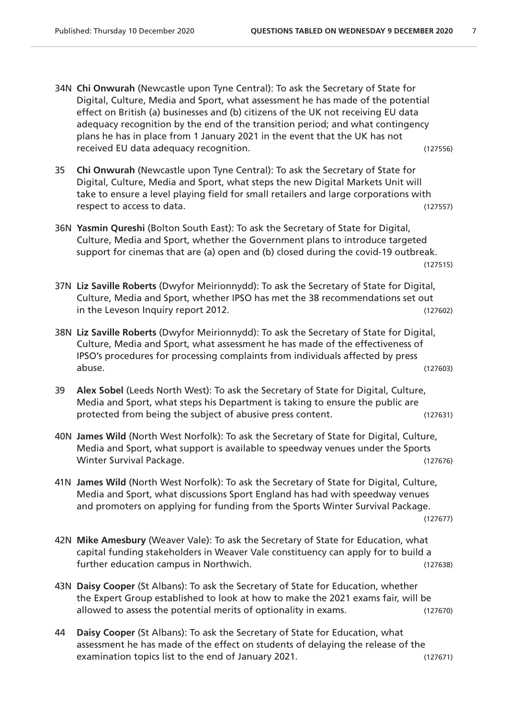- 34N **Chi Onwurah** (Newcastle upon Tyne Central): To ask the Secretary of State for Digital, Culture, Media and Sport, what assessment he has made of the potential effect on British (a) businesses and (b) citizens of the UK not receiving EU data adequacy recognition by the end of the transition period; and what contingency plans he has in place from 1 January 2021 in the event that the UK has not received EU data adequacy recognition. (127556)
- 35 **Chi Onwurah** (Newcastle upon Tyne Central): To ask the Secretary of State for Digital, Culture, Media and Sport, what steps the new Digital Markets Unit will take to ensure a level playing field for small retailers and large corporations with respect to access to data. (127557)
- 36N **Yasmin Qureshi** (Bolton South East): To ask the Secretary of State for Digital, Culture, Media and Sport, whether the Government plans to introduce targeted support for cinemas that are (a) open and (b) closed during the covid-19 outbreak. (127515)
- 37N **Liz Saville Roberts** (Dwyfor Meirionnydd): To ask the Secretary of State for Digital, Culture, Media and Sport, whether IPSO has met the 38 recommendations set out in the Leveson Inquiry report 2012. (127602)
- 38N **Liz Saville Roberts** (Dwyfor Meirionnydd): To ask the Secretary of State for Digital, Culture, Media and Sport, what assessment he has made of the effectiveness of IPSO's procedures for processing complaints from individuals affected by press abuse. (127603)
- 39 **Alex Sobel** (Leeds North West): To ask the Secretary of State for Digital, Culture, Media and Sport, what steps his Department is taking to ensure the public are protected from being the subject of abusive press content. (127631)
- 40N **James Wild** (North West Norfolk): To ask the Secretary of State for Digital, Culture, Media and Sport, what support is available to speedway venues under the Sports Winter Survival Package. (127676)
- 41N **James Wild** (North West Norfolk): To ask the Secretary of State for Digital, Culture, Media and Sport, what discussions Sport England has had with speedway venues and promoters on applying for funding from the Sports Winter Survival Package.

(127677)

- 42N **Mike Amesbury** (Weaver Vale): To ask the Secretary of State for Education, what capital funding stakeholders in Weaver Vale constituency can apply for to build a further education campus in Northwich. (127638)
- 43N **Daisy Cooper** (St Albans): To ask the Secretary of State for Education, whether the Expert Group established to look at how to make the 2021 exams fair, will be allowed to assess the potential merits of optionality in exams. (127670)
- 44 **Daisy Cooper** (St Albans): To ask the Secretary of State for Education, what assessment he has made of the effect on students of delaying the release of the examination topics list to the end of January 2021. (127671)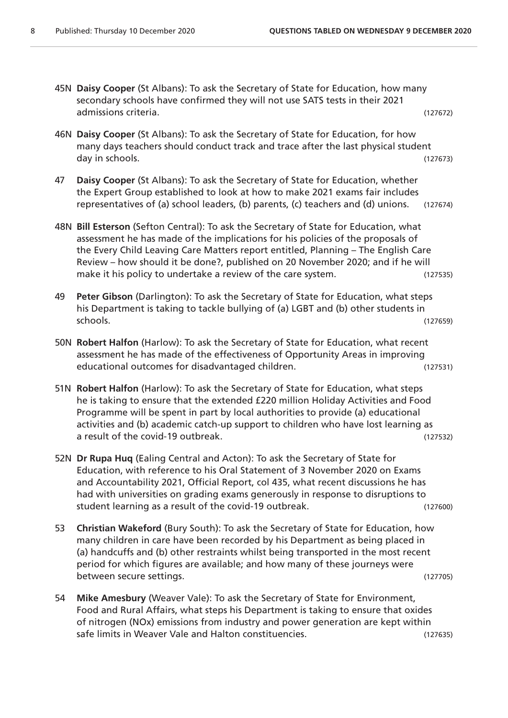- 45N **Daisy Cooper** (St Albans): To ask the Secretary of State for Education, how many secondary schools have confirmed they will not use SATS tests in their 2021 admissions criteria. (127672)
- 46N **Daisy Cooper** (St Albans): To ask the Secretary of State for Education, for how many days teachers should conduct track and trace after the last physical student day in schools. (127673)
- 47 **Daisy Cooper** (St Albans): To ask the Secretary of State for Education, whether the Expert Group established to look at how to make 2021 exams fair includes representatives of (a) school leaders, (b) parents, (c) teachers and (d) unions. (127674)
- 48N **Bill Esterson** (Sefton Central): To ask the Secretary of State for Education, what assessment he has made of the implications for his policies of the proposals of the Every Child Leaving Care Matters report entitled, Planning – The English Care Review – how should it be done?, published on 20 November 2020; and if he will make it his policy to undertake a review of the care system. (127535)
- 49 **Peter Gibson** (Darlington): To ask the Secretary of State for Education, what steps his Department is taking to tackle bullying of (a) LGBT and (b) other students in schools. (127659)
- 50N **Robert Halfon** (Harlow): To ask the Secretary of State for Education, what recent assessment he has made of the effectiveness of Opportunity Areas in improving educational outcomes for disadvantaged children. (127531)
- 51N **Robert Halfon** (Harlow): To ask the Secretary of State for Education, what steps he is taking to ensure that the extended £220 million Holiday Activities and Food Programme will be spent in part by local authorities to provide (a) educational activities and (b) academic catch-up support to children who have lost learning as a result of the covid-19 outbreak. (127532)
- 52N **Dr Rupa Huq** (Ealing Central and Acton): To ask the Secretary of State for Education, with reference to his Oral Statement of 3 November 2020 on Exams and Accountability 2021, Official Report, col 435, what recent discussions he has had with universities on grading exams generously in response to disruptions to student learning as a result of the covid-19 outbreak. (127600)
- 53 **Christian Wakeford** (Bury South): To ask the Secretary of State for Education, how many children in care have been recorded by his Department as being placed in (a) handcuffs and (b) other restraints whilst being transported in the most recent period for which figures are available; and how many of these journeys were between secure settings. (127705)
- 54 **Mike Amesbury** (Weaver Vale): To ask the Secretary of State for Environment, Food and Rural Affairs, what steps his Department is taking to ensure that oxides of nitrogen (NOx) emissions from industry and power generation are kept within safe limits in Weaver Vale and Halton constituencies. (127635)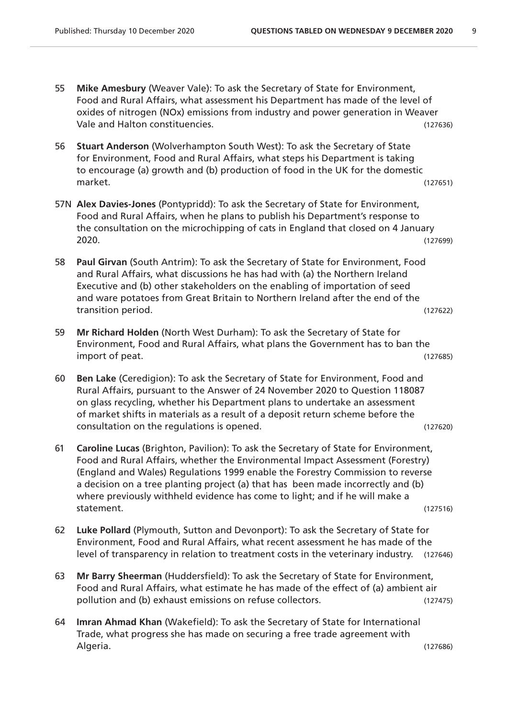- 55 **Mike Amesbury** (Weaver Vale): To ask the Secretary of State for Environment, Food and Rural Affairs, what assessment his Department has made of the level of oxides of nitrogen (NOx) emissions from industry and power generation in Weaver Vale and Halton constituencies. (127636)
- 56 **Stuart Anderson** (Wolverhampton South West): To ask the Secretary of State for Environment, Food and Rural Affairs, what steps his Department is taking to encourage (a) growth and (b) production of food in the UK for the domestic market. (127651)
- 57N **Alex Davies-Jones** (Pontypridd): To ask the Secretary of State for Environment, Food and Rural Affairs, when he plans to publish his Department's response to the consultation on the microchipping of cats in England that closed on 4 January 2020. (127699)
- 58 **Paul Girvan** (South Antrim): To ask the Secretary of State for Environment, Food and Rural Affairs, what discussions he has had with (a) the Northern Ireland Executive and (b) other stakeholders on the enabling of importation of seed and ware potatoes from Great Britain to Northern Ireland after the end of the transition period. (127622)
- 59 **Mr Richard Holden** (North West Durham): To ask the Secretary of State for Environment, Food and Rural Affairs, what plans the Government has to ban the import of peat. (127685)
- 60 **Ben Lake** (Ceredigion): To ask the Secretary of State for Environment, Food and Rural Affairs, pursuant to the Answer of 24 November 2020 to Question 118087 on glass recycling, whether his Department plans to undertake an assessment of market shifts in materials as a result of a deposit return scheme before the consultation on the regulations is opened. (127620)
- 61 **Caroline Lucas** (Brighton, Pavilion): To ask the Secretary of State for Environment, Food and Rural Affairs, whether the Environmental Impact Assessment (Forestry) (England and Wales) Regulations 1999 enable the Forestry Commission to reverse a decision on a tree planting project (a) that has been made incorrectly and (b) where previously withheld evidence has come to light; and if he will make a statement. (127516)
- 62 **Luke Pollard** (Plymouth, Sutton and Devonport): To ask the Secretary of State for Environment, Food and Rural Affairs, what recent assessment he has made of the level of transparency in relation to treatment costs in the veterinary industry. (127646)
- 63 **Mr Barry Sheerman** (Huddersfield): To ask the Secretary of State for Environment, Food and Rural Affairs, what estimate he has made of the effect of (a) ambient air pollution and (b) exhaust emissions on refuse collectors. (127475)
- 64 **Imran Ahmad Khan** (Wakefield): To ask the Secretary of State for International Trade, what progress she has made on securing a free trade agreement with Algeria. (127686)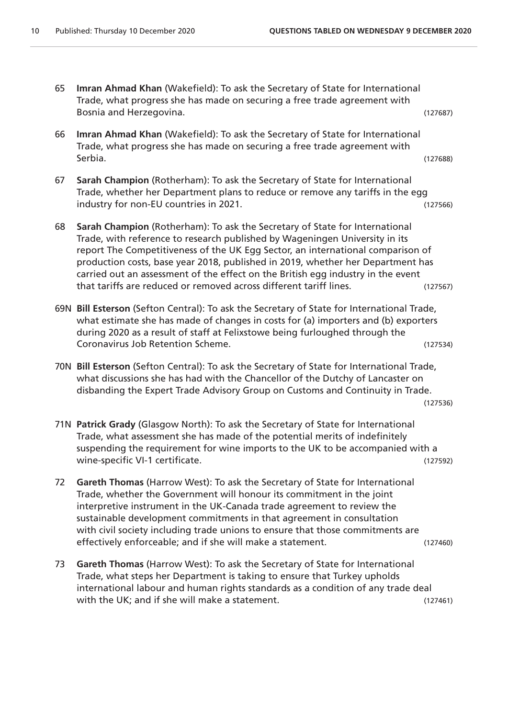- 65 **Imran Ahmad Khan** (Wakefield): To ask the Secretary of State for International Trade, what progress she has made on securing a free trade agreement with Bosnia and Herzegovina. (127687)
- 66 **Imran Ahmad Khan** (Wakefield): To ask the Secretary of State for International Trade, what progress she has made on securing a free trade agreement with Serbia. (127688)
- 67 **Sarah Champion** (Rotherham): To ask the Secretary of State for International Trade, whether her Department plans to reduce or remove any tariffs in the egg industry for non-EU countries in 2021. (127566)
- 68 **Sarah Champion** (Rotherham): To ask the Secretary of State for International Trade, with reference to research published by Wageningen University in its report The Competitiveness of the UK Egg Sector, an international comparison of production costs, base year 2018, published in 2019, whether her Department has carried out an assessment of the effect on the British egg industry in the event that tariffs are reduced or removed across different tariff lines. (127567)
- 69N **Bill Esterson** (Sefton Central): To ask the Secretary of State for International Trade, what estimate she has made of changes in costs for (a) importers and (b) exporters during 2020 as a result of staff at Felixstowe being furloughed through the Coronavirus Job Retention Scheme. (127534)
- 70N **Bill Esterson** (Sefton Central): To ask the Secretary of State for International Trade, what discussions she has had with the Chancellor of the Dutchy of Lancaster on disbanding the Expert Trade Advisory Group on Customs and Continuity in Trade.

(127536)

- 71N **Patrick Grady** (Glasgow North): To ask the Secretary of State for International Trade, what assessment she has made of the potential merits of indefinitely suspending the requirement for wine imports to the UK to be accompanied with a wine-specific VI-1 certificate.  $(127592)$
- 72 **Gareth Thomas** (Harrow West): To ask the Secretary of State for International Trade, whether the Government will honour its commitment in the joint interpretive instrument in the UK-Canada trade agreement to review the sustainable development commitments in that agreement in consultation with civil society including trade unions to ensure that those commitments are effectively enforceable; and if she will make a statement. (127460)
- 73 **Gareth Thomas** (Harrow West): To ask the Secretary of State for International Trade, what steps her Department is taking to ensure that Turkey upholds international labour and human rights standards as a condition of any trade deal with the UK; and if she will make a statement. (127461)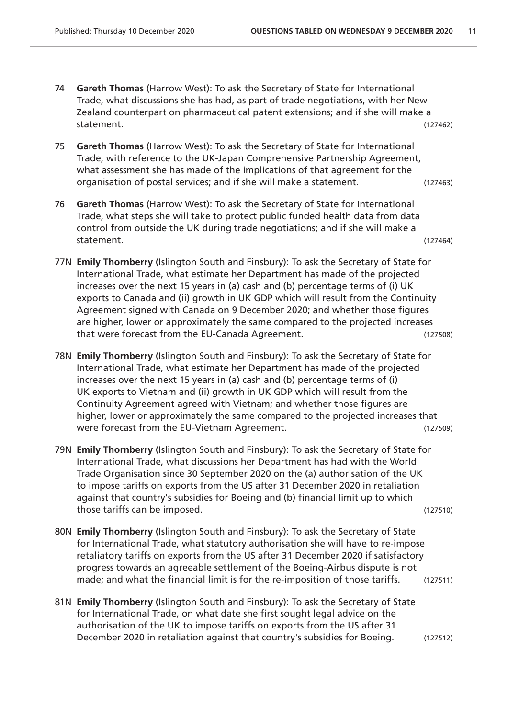- 74 **Gareth Thomas** (Harrow West): To ask the Secretary of State for International Trade, what discussions she has had, as part of trade negotiations, with her New Zealand counterpart on pharmaceutical patent extensions; and if she will make a statement. (127462)
- 75 **Gareth Thomas** (Harrow West): To ask the Secretary of State for International Trade, with reference to the UK-Japan Comprehensive Partnership Agreement, what assessment she has made of the implications of that agreement for the organisation of postal services; and if she will make a statement. (127463)
- 76 **Gareth Thomas** (Harrow West): To ask the Secretary of State for International Trade, what steps she will take to protect public funded health data from data control from outside the UK during trade negotiations; and if she will make a statement. (127464)
- 77N **Emily Thornberry** (Islington South and Finsbury): To ask the Secretary of State for International Trade, what estimate her Department has made of the projected increases over the next 15 years in (a) cash and (b) percentage terms of (i) UK exports to Canada and (ii) growth in UK GDP which will result from the Continuity Agreement signed with Canada on 9 December 2020; and whether those figures are higher, lower or approximately the same compared to the projected increases that were forecast from the EU-Canada Agreement. (127508)
- 78N **Emily Thornberry** (Islington South and Finsbury): To ask the Secretary of State for International Trade, what estimate her Department has made of the projected increases over the next 15 years in (a) cash and (b) percentage terms of (i) UK exports to Vietnam and (ii) growth in UK GDP which will result from the Continuity Agreement agreed with Vietnam; and whether those figures are higher, lower or approximately the same compared to the projected increases that were forecast from the EU-Vietnam Agreement. (127509)
- 79N **Emily Thornberry** (Islington South and Finsbury): To ask the Secretary of State for International Trade, what discussions her Department has had with the World Trade Organisation since 30 September 2020 on the (a) authorisation of the UK to impose tariffs on exports from the US after 31 December 2020 in retaliation against that country's subsidies for Boeing and (b) financial limit up to which those tariffs can be imposed. (127510)
- 80N **Emily Thornberry** (Islington South and Finsbury): To ask the Secretary of State for International Trade, what statutory authorisation she will have to re-impose retaliatory tariffs on exports from the US after 31 December 2020 if satisfactory progress towards an agreeable settlement of the Boeing-Airbus dispute is not made; and what the financial limit is for the re-imposition of those tariffs. (127511)
- 81N **Emily Thornberry** (Islington South and Finsbury): To ask the Secretary of State for International Trade, on what date she first sought legal advice on the authorisation of the UK to impose tariffs on exports from the US after 31 December 2020 in retaliation against that country's subsidies for Boeing. (127512)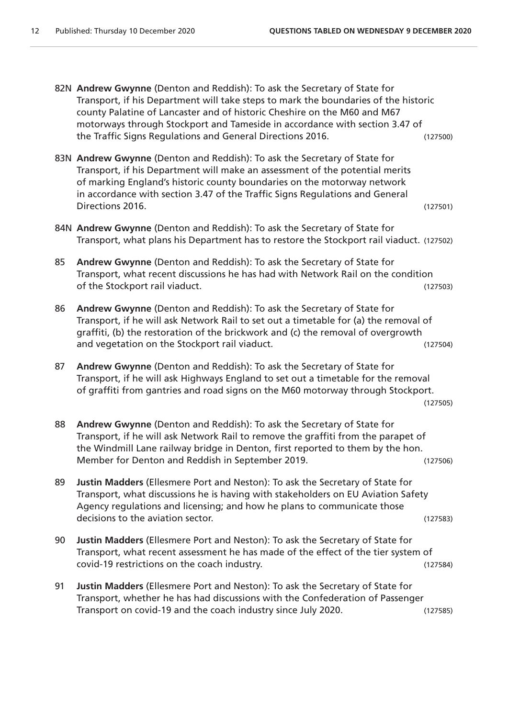- 82N **Andrew Gwynne** (Denton and Reddish): To ask the Secretary of State for Transport, if his Department will take steps to mark the boundaries of the historic county Palatine of Lancaster and of historic Cheshire on the M60 and M67 motorways through Stockport and Tameside in accordance with section 3.47 of the Traffic Signs Regulations and General Directions 2016. (127500)
- 83N **Andrew Gwynne** (Denton and Reddish): To ask the Secretary of State for Transport, if his Department will make an assessment of the potential merits of marking England's historic county boundaries on the motorway network in accordance with section 3.47 of the Traffic Signs Regulations and General Directions 2016. (127501)
- 84N **Andrew Gwynne** (Denton and Reddish): To ask the Secretary of State for Transport, what plans his Department has to restore the Stockport rail viaduct. (127502)
- 85 **Andrew Gwynne** (Denton and Reddish): To ask the Secretary of State for Transport, what recent discussions he has had with Network Rail on the condition of the Stockport rail viaduct. (127503)
- 86 **Andrew Gwynne** (Denton and Reddish): To ask the Secretary of State for Transport, if he will ask Network Rail to set out a timetable for (a) the removal of graffiti, (b) the restoration of the brickwork and (c) the removal of overgrowth and vegetation on the Stockport rail viaduct. (127504)
- 87 **Andrew Gwynne** (Denton and Reddish): To ask the Secretary of State for Transport, if he will ask Highways England to set out a timetable for the removal of graffiti from gantries and road signs on the M60 motorway through Stockport.

(127505)

- 88 **Andrew Gwynne** (Denton and Reddish): To ask the Secretary of State for Transport, if he will ask Network Rail to remove the graffiti from the parapet of the Windmill Lane railway bridge in Denton, first reported to them by the hon. Member for Denton and Reddish in September 2019. (127506)
- 89 **Justin Madders** (Ellesmere Port and Neston): To ask the Secretary of State for Transport, what discussions he is having with stakeholders on EU Aviation Safety Agency regulations and licensing; and how he plans to communicate those decisions to the aviation sector. (127583)
- 90 **Justin Madders** (Ellesmere Port and Neston): To ask the Secretary of State for Transport, what recent assessment he has made of the effect of the tier system of covid-19 restrictions on the coach industry. (127584)
- 91 **Justin Madders** (Ellesmere Port and Neston): To ask the Secretary of State for Transport, whether he has had discussions with the Confederation of Passenger Transport on covid-19 and the coach industry since July 2020. (127585)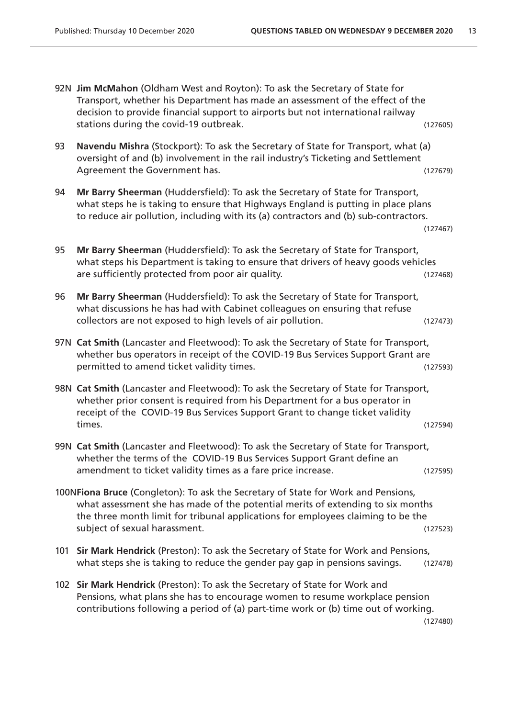|     | 92N Jim McMahon (Oldham West and Royton): To ask the Secretary of State for<br>Transport, whether his Department has made an assessment of the effect of the<br>decision to provide financial support to airports but not international railway                                           |          |
|-----|-------------------------------------------------------------------------------------------------------------------------------------------------------------------------------------------------------------------------------------------------------------------------------------------|----------|
|     | stations during the covid-19 outbreak.                                                                                                                                                                                                                                                    | (127605) |
| 93  | Navendu Mishra (Stockport): To ask the Secretary of State for Transport, what (a)<br>oversight of and (b) involvement in the rail industry's Ticketing and Settlement<br>Agreement the Government has.                                                                                    | (127679) |
|     |                                                                                                                                                                                                                                                                                           |          |
| 94  | Mr Barry Sheerman (Huddersfield): To ask the Secretary of State for Transport,<br>what steps he is taking to ensure that Highways England is putting in place plans<br>to reduce air pollution, including with its (a) contractors and (b) sub-contractors.                               | (127467) |
| 95  | Mr Barry Sheerman (Huddersfield): To ask the Secretary of State for Transport,<br>what steps his Department is taking to ensure that drivers of heavy goods vehicles<br>are sufficiently protected from poor air quality.                                                                 | (127468) |
| 96  | Mr Barry Sheerman (Huddersfield): To ask the Secretary of State for Transport,<br>what discussions he has had with Cabinet colleagues on ensuring that refuse<br>collectors are not exposed to high levels of air pollution.                                                              | (127473) |
|     | 97N Cat Smith (Lancaster and Fleetwood): To ask the Secretary of State for Transport,<br>whether bus operators in receipt of the COVID-19 Bus Services Support Grant are<br>permitted to amend ticket validity times.                                                                     | (127593) |
|     | 98N Cat Smith (Lancaster and Fleetwood): To ask the Secretary of State for Transport,<br>whether prior consent is required from his Department for a bus operator in<br>receipt of the COVID-19 Bus Services Support Grant to change ticket validity<br>times.                            | (127594) |
|     | 99N Cat Smith (Lancaster and Fleetwood): To ask the Secretary of State for Transport,                                                                                                                                                                                                     |          |
|     | whether the terms of the COVID-19 Bus Services Support Grant define an<br>amendment to ticket validity times as a fare price increase.                                                                                                                                                    | (127595) |
|     | 100NFiona Bruce (Congleton): To ask the Secretary of State for Work and Pensions,<br>what assessment she has made of the potential merits of extending to six months<br>the three month limit for tribunal applications for employees claiming to be the<br>subject of sexual harassment. | (127523) |
| 101 | Sir Mark Hendrick (Preston): To ask the Secretary of State for Work and Pensions,<br>what steps she is taking to reduce the gender pay gap in pensions savings.                                                                                                                           | (127478) |
|     | 102 Sir Mark Hendrick (Preston): To ask the Secretary of State for Work and<br>Pensions, what plans she has to encourage women to resume workplace pension<br>contributions following a period of (a) part-time work or (b) time out of working.                                          | (127480) |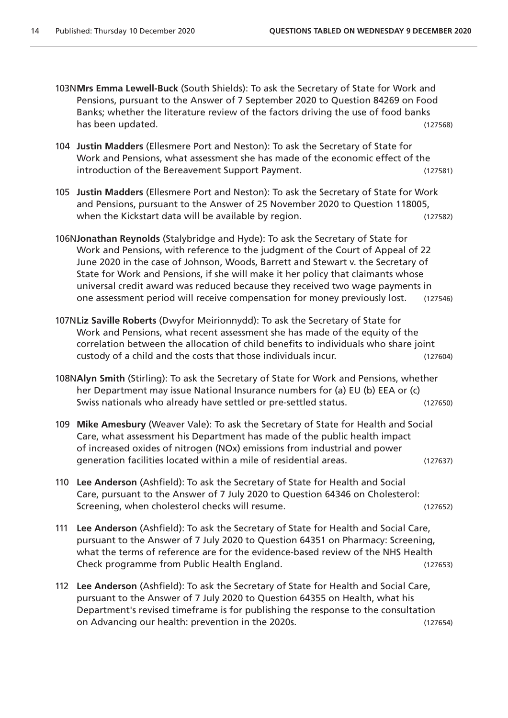- 103N**Mrs Emma Lewell-Buck** (South Shields): To ask the Secretary of State for Work and Pensions, pursuant to the Answer of 7 September 2020 to Question 84269 on Food Banks; whether the literature review of the factors driving the use of food banks has been updated. (127568)
- 104 **Justin Madders** (Ellesmere Port and Neston): To ask the Secretary of State for Work and Pensions, what assessment she has made of the economic effect of the introduction of the Bereavement Support Payment. (127581)
- 105 **Justin Madders** (Ellesmere Port and Neston): To ask the Secretary of State for Work and Pensions, pursuant to the Answer of 25 November 2020 to Question 118005, when the Kickstart data will be available by region. (127582)
- 106N**Jonathan Reynolds** (Stalybridge and Hyde): To ask the Secretary of State for Work and Pensions, with reference to the judgment of the Court of Appeal of 22 June 2020 in the case of Johnson, Woods, Barrett and Stewart v. the Secretary of State for Work and Pensions, if she will make it her policy that claimants whose universal credit award was reduced because they received two wage payments in one assessment period will receive compensation for money previously lost. (127546)
- 107N**Liz Saville Roberts** (Dwyfor Meirionnydd): To ask the Secretary of State for Work and Pensions, what recent assessment she has made of the equity of the correlation between the allocation of child benefits to individuals who share joint custody of a child and the costs that those individuals incur. (127604)
- 108N**Alyn Smith** (Stirling): To ask the Secretary of State for Work and Pensions, whether her Department may issue National Insurance numbers for (a) EU (b) EEA or (c) Swiss nationals who already have settled or pre-settled status. (127650)
- 109 **Mike Amesbury** (Weaver Vale): To ask the Secretary of State for Health and Social Care, what assessment his Department has made of the public health impact of increased oxides of nitrogen (NOx) emissions from industrial and power generation facilities located within a mile of residential areas. (127637)
- 110 **Lee Anderson** (Ashfield): To ask the Secretary of State for Health and Social Care, pursuant to the Answer of 7 July 2020 to Question 64346 on Cholesterol: Screening, when cholesterol checks will resume. (127652)
- 111 **Lee Anderson** (Ashfield): To ask the Secretary of State for Health and Social Care, pursuant to the Answer of 7 July 2020 to Question 64351 on Pharmacy: Screening, what the terms of reference are for the evidence-based review of the NHS Health Check programme from Public Health England. (127653)
- 112 **Lee Anderson** (Ashfield): To ask the Secretary of State for Health and Social Care, pursuant to the Answer of 7 July 2020 to Question 64355 on Health, what his Department's revised timeframe is for publishing the response to the consultation on Advancing our health: prevention in the 2020s. (127654)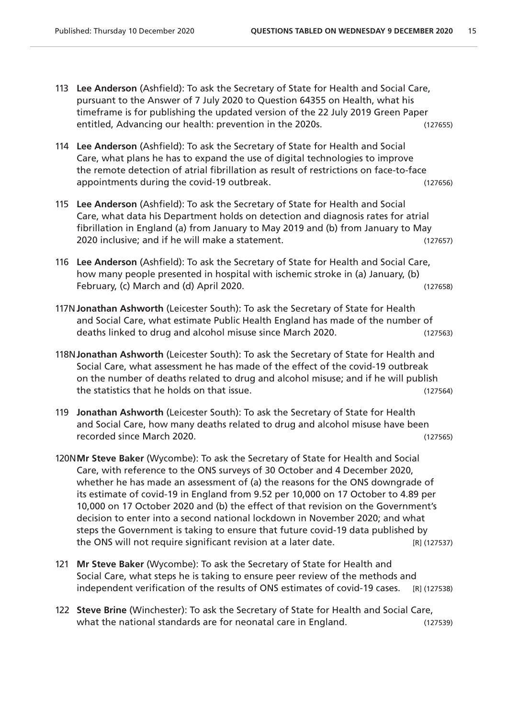- 113 **Lee Anderson** (Ashfield): To ask the Secretary of State for Health and Social Care, pursuant to the Answer of 7 July 2020 to Question 64355 on Health, what his timeframe is for publishing the updated version of the 22 July 2019 Green Paper entitled, Advancing our health: prevention in the 2020s. (127655)
- 114 **Lee Anderson** (Ashfield): To ask the Secretary of State for Health and Social Care, what plans he has to expand the use of digital technologies to improve the remote detection of atrial fibrillation as result of restrictions on face-to-face appointments during the covid-19 outbreak. (127656)
- 115 **Lee Anderson** (Ashfield): To ask the Secretary of State for Health and Social Care, what data his Department holds on detection and diagnosis rates for atrial fibrillation in England (a) from January to May 2019 and (b) from January to May 2020 inclusive; and if he will make a statement. (127657)
- 116 **Lee Anderson** (Ashfield): To ask the Secretary of State for Health and Social Care, how many people presented in hospital with ischemic stroke in (a) January, (b) February, (c) March and (d) April 2020. (127658)
- 117N**Jonathan Ashworth** (Leicester South): To ask the Secretary of State for Health and Social Care, what estimate Public Health England has made of the number of deaths linked to drug and alcohol misuse since March 2020. (127563)
- 118N**Jonathan Ashworth** (Leicester South): To ask the Secretary of State for Health and Social Care, what assessment he has made of the effect of the covid-19 outbreak on the number of deaths related to drug and alcohol misuse; and if he will publish the statistics that he holds on that issue. (127564)
- 119 **Jonathan Ashworth** (Leicester South): To ask the Secretary of State for Health and Social Care, how many deaths related to drug and alcohol misuse have been recorded since March 2020. (127565)
- 120N**Mr Steve Baker** (Wycombe): To ask the Secretary of State for Health and Social Care, with reference to the ONS surveys of 30 October and 4 December 2020, whether he has made an assessment of (a) the reasons for the ONS downgrade of its estimate of covid-19 in England from 9.52 per 10,000 on 17 October to 4.89 per 10,000 on 17 October 2020 and (b) the effect of that revision on the Government's decision to enter into a second national lockdown in November 2020; and what steps the Government is taking to ensure that future covid-19 data published by the ONS will not require significant revision at a later date. [R] (127537)
- 121 **Mr Steve Baker** (Wycombe): To ask the Secretary of State for Health and Social Care, what steps he is taking to ensure peer review of the methods and independent verification of the results of ONS estimates of covid-19 cases. [R] (127538)
- 122 **Steve Brine** (Winchester): To ask the Secretary of State for Health and Social Care, what the national standards are for neonatal care in England. (127539)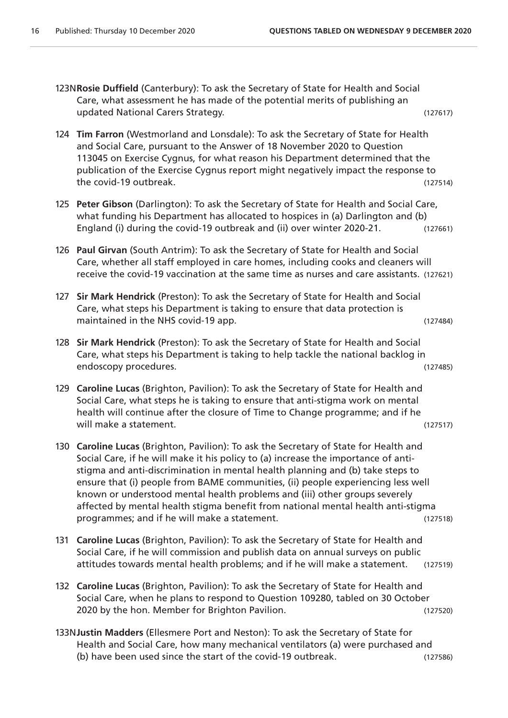- 123N**Rosie Duffield** (Canterbury): To ask the Secretary of State for Health and Social Care, what assessment he has made of the potential merits of publishing an updated National Carers Strategy. (127617)
- 124 **Tim Farron** (Westmorland and Lonsdale): To ask the Secretary of State for Health and Social Care, pursuant to the Answer of 18 November 2020 to Question 113045 on Exercise Cygnus, for what reason his Department determined that the publication of the Exercise Cygnus report might negatively impact the response to the covid-19 outbreak. (127514)
- 125 **Peter Gibson** (Darlington): To ask the Secretary of State for Health and Social Care, what funding his Department has allocated to hospices in (a) Darlington and (b) England (i) during the covid-19 outbreak and (ii) over winter 2020-21. (127661)
- 126 **Paul Girvan** (South Antrim): To ask the Secretary of State for Health and Social Care, whether all staff employed in care homes, including cooks and cleaners will receive the covid-19 vaccination at the same time as nurses and care assistants. (127621)
- 127 **Sir Mark Hendrick** (Preston): To ask the Secretary of State for Health and Social Care, what steps his Department is taking to ensure that data protection is maintained in the NHS covid-19 app. The same state of the state of the state of the state of the state of the state of the state of the state of the state of the state of the state of the state of the state of the state of
- 128 **Sir Mark Hendrick** (Preston): To ask the Secretary of State for Health and Social Care, what steps his Department is taking to help tackle the national backlog in endoscopy procedures. (127485)
- 129 **Caroline Lucas** (Brighton, Pavilion): To ask the Secretary of State for Health and Social Care, what steps he is taking to ensure that anti-stigma work on mental health will continue after the closure of Time to Change programme; and if he will make a statement. (127517)
- 130 **Caroline Lucas** (Brighton, Pavilion): To ask the Secretary of State for Health and Social Care, if he will make it his policy to (a) increase the importance of antistigma and anti-discrimination in mental health planning and (b) take steps to ensure that (i) people from BAME communities, (ii) people experiencing less well known or understood mental health problems and (iii) other groups severely affected by mental health stigma benefit from national mental health anti-stigma programmes; and if he will make a statement. (127518)
- 131 **Caroline Lucas** (Brighton, Pavilion): To ask the Secretary of State for Health and Social Care, if he will commission and publish data on annual surveys on public attitudes towards mental health problems; and if he will make a statement. (127519)
- 132 **Caroline Lucas** (Brighton, Pavilion): To ask the Secretary of State for Health and Social Care, when he plans to respond to Question 109280, tabled on 30 October 2020 by the hon. Member for Brighton Pavilion. (127520)
- 133N**Justin Madders** (Ellesmere Port and Neston): To ask the Secretary of State for Health and Social Care, how many mechanical ventilators (a) were purchased and (b) have been used since the start of the covid-19 outbreak. (127586)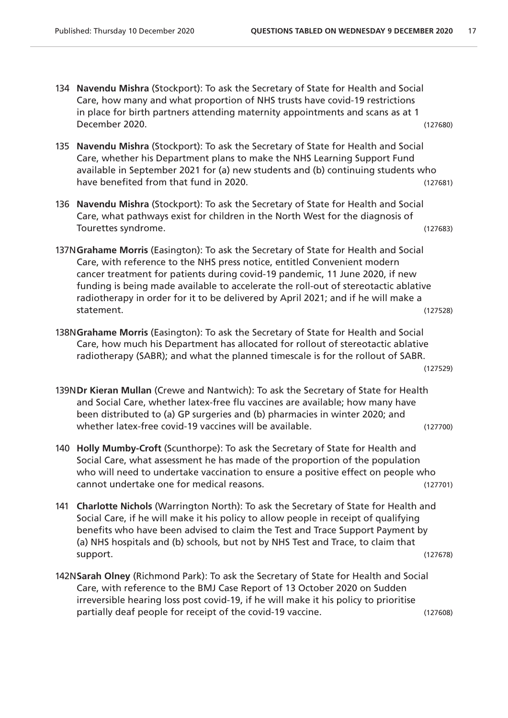- 134 **Navendu Mishra** (Stockport): To ask the Secretary of State for Health and Social Care, how many and what proportion of NHS trusts have covid-19 restrictions in place for birth partners attending maternity appointments and scans as at 1 December 2020. (127680)
- 135 **Navendu Mishra** (Stockport): To ask the Secretary of State for Health and Social Care, whether his Department plans to make the NHS Learning Support Fund available in September 2021 for (a) new students and (b) continuing students who have benefited from that fund in 2020. The same state of the state (127681)
- 136 **Navendu Mishra** (Stockport): To ask the Secretary of State for Health and Social Care, what pathways exist for children in the North West for the diagnosis of Tourettes syndrome. (127683)
- 137N**Grahame Morris** (Easington): To ask the Secretary of State for Health and Social Care, with reference to the NHS press notice, entitled Convenient modern cancer treatment for patients during covid-19 pandemic, 11 June 2020, if new funding is being made available to accelerate the roll-out of stereotactic ablative radiotherapy in order for it to be delivered by April 2021; and if he will make a statement. (127528)
- 138N**Grahame Morris** (Easington): To ask the Secretary of State for Health and Social Care, how much his Department has allocated for rollout of stereotactic ablative radiotherapy (SABR); and what the planned timescale is for the rollout of SABR.

(127529)

- 139N**Dr Kieran Mullan** (Crewe and Nantwich): To ask the Secretary of State for Health and Social Care, whether latex-free flu vaccines are available; how many have been distributed to (a) GP surgeries and (b) pharmacies in winter 2020; and whether latex-free covid-19 vaccines will be available. (127700)
- 140 **Holly Mumby-Croft** (Scunthorpe): To ask the Secretary of State for Health and Social Care, what assessment he has made of the proportion of the population who will need to undertake vaccination to ensure a positive effect on people who cannot undertake one for medical reasons. (127701)
- 141 **Charlotte Nichols** (Warrington North): To ask the Secretary of State for Health and Social Care, if he will make it his policy to allow people in receipt of qualifying benefits who have been advised to claim the Test and Trace Support Payment by (a) NHS hospitals and (b) schools, but not by NHS Test and Trace, to claim that support. (127678)
- 142N**Sarah Olney** (Richmond Park): To ask the Secretary of State for Health and Social Care, with reference to the BMJ Case Report of 13 October 2020 on Sudden irreversible hearing loss post covid-19, if he will make it his policy to prioritise partially deaf people for receipt of the covid-19 vaccine. (127608)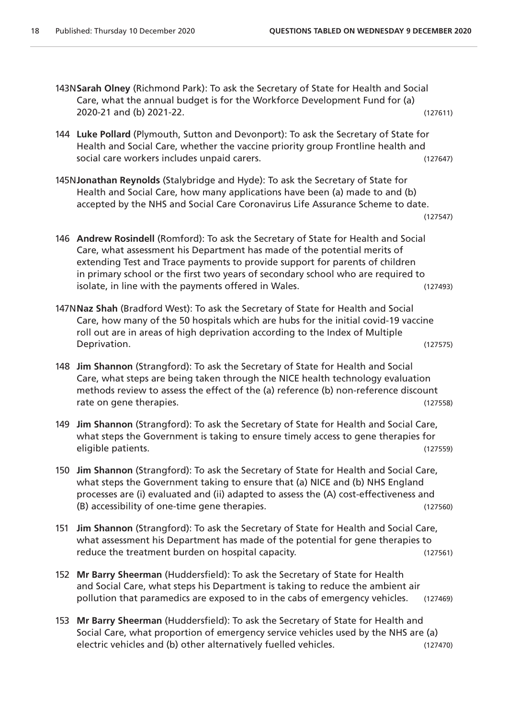- 143N**Sarah Olney** (Richmond Park): To ask the Secretary of State for Health and Social Care, what the annual budget is for the Workforce Development Fund for (a) 2020-21 and (b) 2021-22. (127611)
- 144 **Luke Pollard** (Plymouth, Sutton and Devonport): To ask the Secretary of State for Health and Social Care, whether the vaccine priority group Frontline health and social care workers includes unpaid carers. (127647)
- 145N**Jonathan Reynolds** (Stalybridge and Hyde): To ask the Secretary of State for Health and Social Care, how many applications have been (a) made to and (b) accepted by the NHS and Social Care Coronavirus Life Assurance Scheme to date.

(127547)

- 146 **Andrew Rosindell** (Romford): To ask the Secretary of State for Health and Social Care, what assessment his Department has made of the potential merits of extending Test and Trace payments to provide support for parents of children in primary school or the first two years of secondary school who are required to isolate, in line with the payments offered in Wales. (127493)
- 147N**Naz Shah** (Bradford West): To ask the Secretary of State for Health and Social Care, how many of the 50 hospitals which are hubs for the initial covid-19 vaccine roll out are in areas of high deprivation according to the Index of Multiple Deprivation. (127575)
- 148 **Jim Shannon** (Strangford): To ask the Secretary of State for Health and Social Care, what steps are being taken through the NICE health technology evaluation methods review to assess the effect of the (a) reference (b) non-reference discount rate on gene therapies. (127558)
- 149 **Jim Shannon** (Strangford): To ask the Secretary of State for Health and Social Care, what steps the Government is taking to ensure timely access to gene therapies for eligible patients. (127559)
- 150 **Jim Shannon** (Strangford): To ask the Secretary of State for Health and Social Care, what steps the Government taking to ensure that (a) NICE and (b) NHS England processes are (i) evaluated and (ii) adapted to assess the (A) cost-effectiveness and (B) accessibility of one-time gene therapies. (127560)
- 151 **Jim Shannon** (Strangford): To ask the Secretary of State for Health and Social Care, what assessment his Department has made of the potential for gene therapies to reduce the treatment burden on hospital capacity. The same control of the transmit of the transmit of the transmi
- 152 **Mr Barry Sheerman** (Huddersfield): To ask the Secretary of State for Health and Social Care, what steps his Department is taking to reduce the ambient air pollution that paramedics are exposed to in the cabs of emergency vehicles. (127469)
- 153 **Mr Barry Sheerman** (Huddersfield): To ask the Secretary of State for Health and Social Care, what proportion of emergency service vehicles used by the NHS are (a) electric vehicles and (b) other alternatively fuelled vehicles. (127470)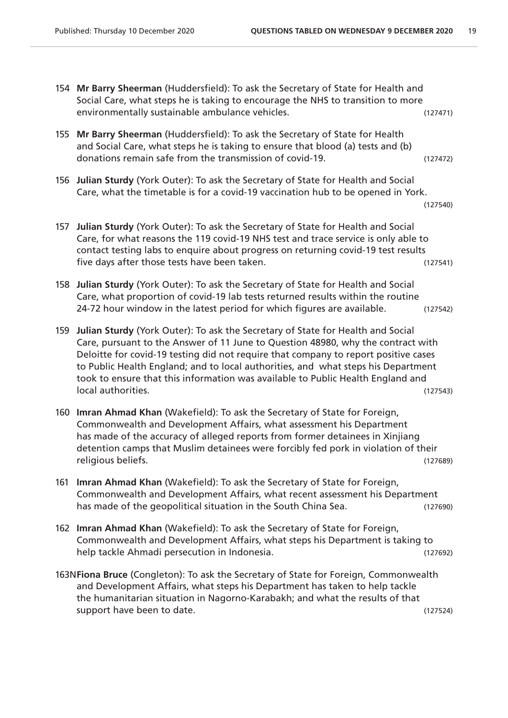- 154 **Mr Barry Sheerman** (Huddersfield): To ask the Secretary of State for Health and Social Care, what steps he is taking to encourage the NHS to transition to more environmentally sustainable ambulance vehicles. (127471)
- 155 **Mr Barry Sheerman** (Huddersfield): To ask the Secretary of State for Health and Social Care, what steps he is taking to ensure that blood (a) tests and (b) donations remain safe from the transmission of covid-19. (127472)
- 156 **Julian Sturdy** (York Outer): To ask the Secretary of State for Health and Social Care, what the timetable is for a covid-19 vaccination hub to be opened in York.
	- (127540)
- 157 **Julian Sturdy** (York Outer): To ask the Secretary of State for Health and Social Care, for what reasons the 119 covid-19 NHS test and trace service is only able to contact testing labs to enquire about progress on returning covid-19 test results five days after those tests have been taken. (127541)
- 158 **Julian Sturdy** (York Outer): To ask the Secretary of State for Health and Social Care, what proportion of covid-19 lab tests returned results within the routine 24-72 hour window in the latest period for which figures are available. (127542)
- 159 **Julian Sturdy** (York Outer): To ask the Secretary of State for Health and Social Care, pursuant to the Answer of 11 June to Question 48980, why the contract with Deloitte for covid-19 testing did not require that company to report positive cases to Public Health England; and to local authorities, and what steps his Department took to ensure that this information was available to Public Health England and local authorities. (127543)
- 160 **Imran Ahmad Khan** (Wakefield): To ask the Secretary of State for Foreign, Commonwealth and Development Affairs, what assessment his Department has made of the accuracy of alleged reports from former detainees in Xinjiang detention camps that Muslim detainees were forcibly fed pork in violation of their religious beliefs. (127689)
- 161 **Imran Ahmad Khan** (Wakefield): To ask the Secretary of State for Foreign, Commonwealth and Development Affairs, what recent assessment his Department has made of the geopolitical situation in the South China Sea. (127690)
- 162 **Imran Ahmad Khan** (Wakefield): To ask the Secretary of State for Foreign, Commonwealth and Development Affairs, what steps his Department is taking to help tackle Ahmadi persecution in Indonesia. (127692)
- 163N**Fiona Bruce** (Congleton): To ask the Secretary of State for Foreign, Commonwealth and Development Affairs, what steps his Department has taken to help tackle the humanitarian situation in Nagorno-Karabakh; and what the results of that support have been to date. (127524)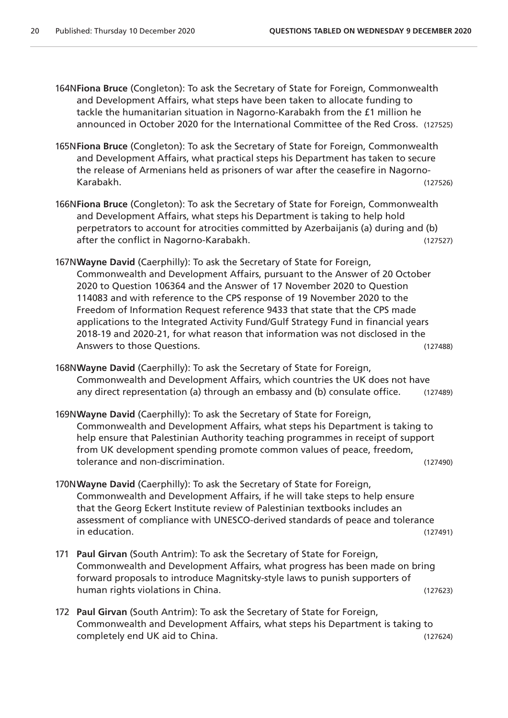164N**Fiona Bruce** (Congleton): To ask the Secretary of State for Foreign, Commonwealth and Development Affairs, what steps have been taken to allocate funding to tackle the humanitarian situation in Nagorno-Karabakh from the £1 million he announced in October 2020 for the International Committee of the Red Cross. (127525)

- 165N**Fiona Bruce** (Congleton): To ask the Secretary of State for Foreign, Commonwealth and Development Affairs, what practical steps his Department has taken to secure the release of Armenians held as prisoners of war after the ceasefire in Nagorno-Karabakh. (127526)
- 166N**Fiona Bruce** (Congleton): To ask the Secretary of State for Foreign, Commonwealth and Development Affairs, what steps his Department is taking to help hold perpetrators to account for atrocities committed by Azerbaijanis (a) during and (b) after the conflict in Nagorno-Karabakh. (127527)
- 167N**Wayne David** (Caerphilly): To ask the Secretary of State for Foreign, Commonwealth and Development Affairs, pursuant to the Answer of 20 October 2020 to Question 106364 and the Answer of 17 November 2020 to Question 114083 and with reference to the CPS response of 19 November 2020 to the Freedom of Information Request reference 9433 that state that the CPS made applications to the Integrated Activity Fund/Gulf Strategy Fund in financial years 2018-19 and 2020-21, for what reason that information was not disclosed in the Answers to those Questions. (127488)
- 168N**Wayne David** (Caerphilly): To ask the Secretary of State for Foreign, Commonwealth and Development Affairs, which countries the UK does not have any direct representation (a) through an embassy and (b) consulate office. (127489)
- 169N**Wayne David** (Caerphilly): To ask the Secretary of State for Foreign, Commonwealth and Development Affairs, what steps his Department is taking to help ensure that Palestinian Authority teaching programmes in receipt of support from UK development spending promote common values of peace, freedom, tolerance and non-discrimination. (127490)
- 170N**Wayne David** (Caerphilly): To ask the Secretary of State for Foreign, Commonwealth and Development Affairs, if he will take steps to help ensure that the Georg Eckert Institute review of Palestinian textbooks includes an assessment of compliance with UNESCO-derived standards of peace and tolerance in education. (127491)
- 171 **Paul Girvan** (South Antrim): To ask the Secretary of State for Foreign, Commonwealth and Development Affairs, what progress has been made on bring forward proposals to introduce Magnitsky-style laws to punish supporters of human rights violations in China. (127623)
- 172 **Paul Girvan** (South Antrim): To ask the Secretary of State for Foreign, Commonwealth and Development Affairs, what steps his Department is taking to completely end UK aid to China. (127624)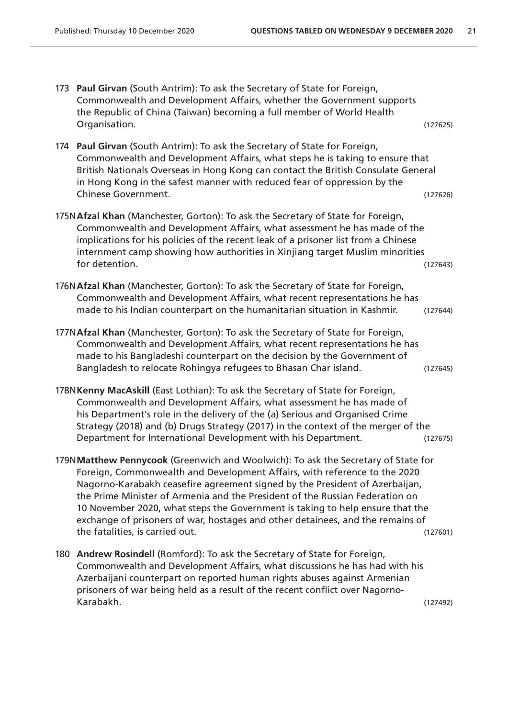|     | 173 Paul Girvan (South Antrim): To ask the Secretary of State for Foreign,<br>Commonwealth and Development Affairs, whether the Government supports<br>the Republic of China (Taiwan) becoming a full member of World Health                                                                                                                                                                                                                                                                                                         |          |
|-----|--------------------------------------------------------------------------------------------------------------------------------------------------------------------------------------------------------------------------------------------------------------------------------------------------------------------------------------------------------------------------------------------------------------------------------------------------------------------------------------------------------------------------------------|----------|
|     | Organisation.                                                                                                                                                                                                                                                                                                                                                                                                                                                                                                                        | (127625) |
|     | 174 Paul Girvan (South Antrim): To ask the Secretary of State for Foreign,<br>Commonwealth and Development Affairs, what steps he is taking to ensure that<br>British Nationals Overseas in Hong Kong can contact the British Consulate General<br>in Hong Kong in the safest manner with reduced fear of oppression by the<br><b>Chinese Government.</b>                                                                                                                                                                            | (127626) |
|     | 175N Afzal Khan (Manchester, Gorton): To ask the Secretary of State for Foreign,<br>Commonwealth and Development Affairs, what assessment he has made of the<br>implications for his policies of the recent leak of a prisoner list from a Chinese<br>internment camp showing how authorities in Xinjiang target Muslim minorities<br>for detention.                                                                                                                                                                                 | (127643) |
|     | 176N Afzal Khan (Manchester, Gorton): To ask the Secretary of State for Foreign,<br>Commonwealth and Development Affairs, what recent representations he has<br>made to his Indian counterpart on the humanitarian situation in Kashmir.                                                                                                                                                                                                                                                                                             | (127644) |
|     | 177NAfzal Khan (Manchester, Gorton): To ask the Secretary of State for Foreign,<br>Commonwealth and Development Affairs, what recent representations he has<br>made to his Bangladeshi counterpart on the decision by the Government of<br>Bangladesh to relocate Rohingya refugees to Bhasan Char island.                                                                                                                                                                                                                           | (127645) |
|     | 178N Kenny MacAskill (East Lothian): To ask the Secretary of State for Foreign,<br>Commonwealth and Development Affairs, what assessment he has made of<br>his Department's role in the delivery of the (a) Serious and Organised Crime<br>Strategy (2018) and (b) Drugs Strategy (2017) in the context of the merger of the<br>Department for International Development with his Department.                                                                                                                                        | (127675) |
|     | 179N Matthew Pennycook (Greenwich and Woolwich): To ask the Secretary of State for<br>Foreign, Commonwealth and Development Affairs, with reference to the 2020<br>Nagorno-Karabakh ceasefire agreement signed by the President of Azerbaijan,<br>the Prime Minister of Armenia and the President of the Russian Federation on<br>10 November 2020, what steps the Government is taking to help ensure that the<br>exchange of prisoners of war, hostages and other detainees, and the remains of<br>the fatalities, is carried out. | (127601) |
| 180 | Andrew Rosindell (Romford): To ask the Secretary of State for Foreign,<br>Commonwealth and Development Affairs, what discussions he has had with his<br>Azerbaijani counterpart on reported human rights abuses against Armenian<br>prisoners of war being held as a result of the recent conflict over Nagorno-                                                                                                                                                                                                                     |          |

Karabakh. (127492)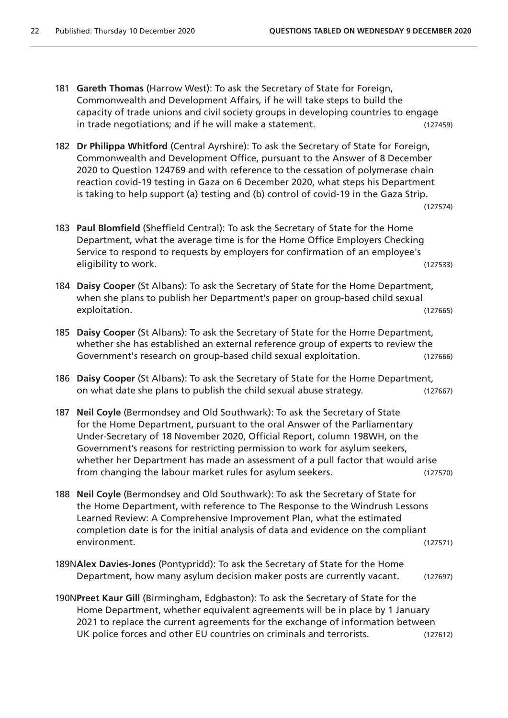- 181 **Gareth Thomas** (Harrow West): To ask the Secretary of State for Foreign, Commonwealth and Development Affairs, if he will take steps to build the capacity of trade unions and civil society groups in developing countries to engage in trade negotiations; and if he will make a statement. (127459)
- 182 **Dr Philippa Whitford** (Central Ayrshire): To ask the Secretary of State for Foreign, Commonwealth and Development Office, pursuant to the Answer of 8 December 2020 to Question 124769 and with reference to the cessation of polymerase chain reaction covid-19 testing in Gaza on 6 December 2020, what steps his Department is taking to help support (a) testing and (b) control of covid-19 in the Gaza Strip.

- 183 **Paul Blomfield** (Sheffield Central): To ask the Secretary of State for the Home Department, what the average time is for the Home Office Employers Checking Service to respond to requests by employers for confirmation of an employee's eligibility to work. (127533)
- 184 **Daisy Cooper** (St Albans): To ask the Secretary of State for the Home Department, when she plans to publish her Department's paper on group-based child sexual exploitation. (127665)
- 185 **Daisy Cooper** (St Albans): To ask the Secretary of State for the Home Department, whether she has established an external reference group of experts to review the Government's research on group-based child sexual exploitation. (127666)
- 186 **Daisy Cooper** (St Albans): To ask the Secretary of State for the Home Department, on what date she plans to publish the child sexual abuse strategy. (127667)
- 187 **Neil Coyle** (Bermondsey and Old Southwark): To ask the Secretary of State for the Home Department, pursuant to the oral Answer of the Parliamentary Under-Secretary of 18 November 2020, Official Report, column 198WH, on the Government's reasons for restricting permission to work for asylum seekers, whether her Department has made an assessment of a pull factor that would arise from changing the labour market rules for asylum seekers. (127570)
- 188 **Neil Coyle** (Bermondsey and Old Southwark): To ask the Secretary of State for the Home Department, with reference to The Response to the Windrush Lessons Learned Review: A Comprehensive Improvement Plan, what the estimated completion date is for the initial analysis of data and evidence on the compliant environment. (127571)
- 189N**Alex Davies-Jones** (Pontypridd): To ask the Secretary of State for the Home Department, how many asylum decision maker posts are currently vacant. (127697)
- 190N**Preet Kaur Gill** (Birmingham, Edgbaston): To ask the Secretary of State for the Home Department, whether equivalent agreements will be in place by 1 January 2021 to replace the current agreements for the exchange of information between UK police forces and other EU countries on criminals and terrorists. (127612)

<sup>(127574)</sup>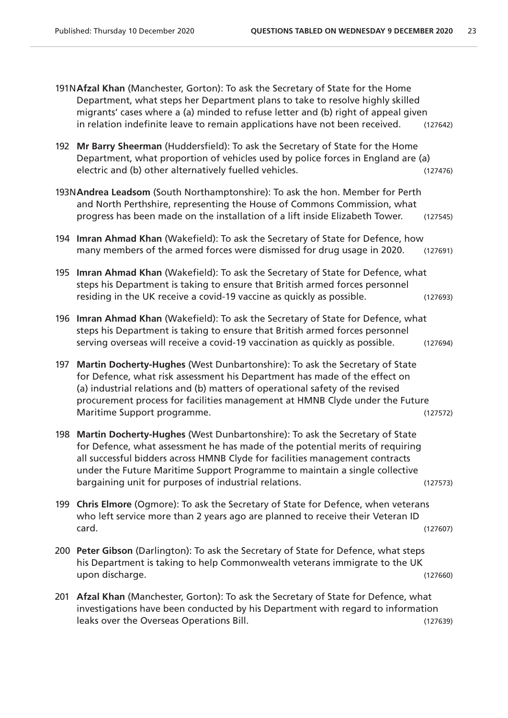|     | 191NAfzal Khan (Manchester, Gorton): To ask the Secretary of State for the Home<br>Department, what steps her Department plans to take to resolve highly skilled<br>migrants' cases where a (a) minded to refuse letter and (b) right of appeal given<br>in relation indefinite leave to remain applications have not been received.                                                     | (127642) |  |  |
|-----|------------------------------------------------------------------------------------------------------------------------------------------------------------------------------------------------------------------------------------------------------------------------------------------------------------------------------------------------------------------------------------------|----------|--|--|
| 192 | Mr Barry Sheerman (Huddersfield): To ask the Secretary of State for the Home<br>Department, what proportion of vehicles used by police forces in England are (a)<br>electric and (b) other alternatively fuelled vehicles.                                                                                                                                                               | (127476) |  |  |
|     | 193N Andrea Leadsom (South Northamptonshire): To ask the hon. Member for Perth<br>and North Perthshire, representing the House of Commons Commission, what<br>progress has been made on the installation of a lift inside Elizabeth Tower.                                                                                                                                               | (127545) |  |  |
| 194 | Imran Ahmad Khan (Wakefield): To ask the Secretary of State for Defence, how<br>many members of the armed forces were dismissed for drug usage in 2020.                                                                                                                                                                                                                                  | (127691) |  |  |
|     | 195 Imran Ahmad Khan (Wakefield): To ask the Secretary of State for Defence, what<br>steps his Department is taking to ensure that British armed forces personnel<br>residing in the UK receive a covid-19 vaccine as quickly as possible.                                                                                                                                               | (127693) |  |  |
| 196 | Imran Ahmad Khan (Wakefield): To ask the Secretary of State for Defence, what<br>steps his Department is taking to ensure that British armed forces personnel<br>serving overseas will receive a covid-19 vaccination as quickly as possible.                                                                                                                                            | (127694) |  |  |
| 197 | Martin Docherty-Hughes (West Dunbartonshire): To ask the Secretary of State<br>for Defence, what risk assessment his Department has made of the effect on<br>(a) industrial relations and (b) matters of operational safety of the revised<br>procurement process for facilities management at HMNB Clyde under the Future<br>Maritime Support programme.                                | (127572) |  |  |
|     | 198 Martin Docherty-Hughes (West Dunbartonshire): To ask the Secretary of State<br>for Defence, what assessment he has made of the potential merits of requiring<br>all successful bidders across HMNB Clyde for facilities management contracts<br>under the Future Maritime Support Programme to maintain a single collective<br>bargaining unit for purposes of industrial relations. | (127573) |  |  |
|     | 199 Chris Elmore (Ogmore): To ask the Secretary of State for Defence, when veterans<br>who left service more than 2 years ago are planned to receive their Veteran ID<br>card.                                                                                                                                                                                                           | (127607) |  |  |
|     | 200 Peter Gibson (Darlington): To ask the Secretary of State for Defence, what steps<br>his Department is taking to help Commonwealth veterans immigrate to the UK<br>upon discharge.                                                                                                                                                                                                    | (127660) |  |  |
|     | 201 Afzal Khan (Manchester, Gorton): To ask the Secretary of State for Defence, what<br>investigations have been conducted by his Department with regard to information<br>leaks over the Overseas Operations Bill.                                                                                                                                                                      | (127639) |  |  |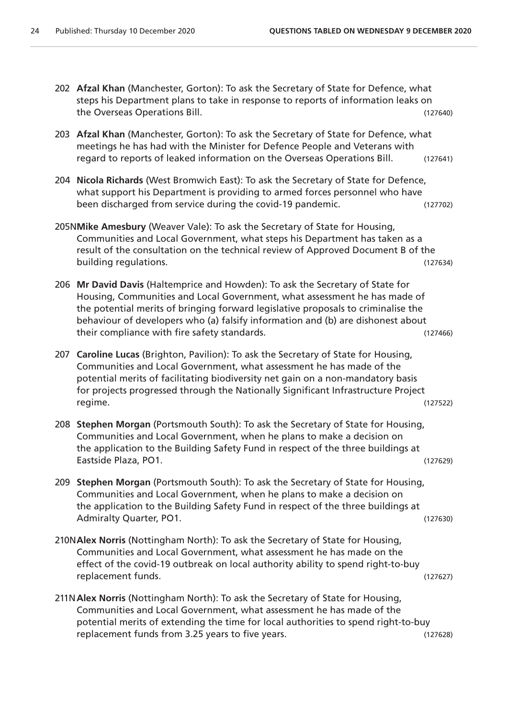- 202 **Afzal Khan** (Manchester, Gorton): To ask the Secretary of State for Defence, what steps his Department plans to take in response to reports of information leaks on the Overseas Operations Bill. (127640)
- 203 **Afzal Khan** (Manchester, Gorton): To ask the Secretary of State for Defence, what meetings he has had with the Minister for Defence People and Veterans with regard to reports of leaked information on the Overseas Operations Bill. (127641)
- 204 **Nicola Richards** (West Bromwich East): To ask the Secretary of State for Defence, what support his Department is providing to armed forces personnel who have been discharged from service during the covid-19 pandemic. (127702)
- 205N**Mike Amesbury** (Weaver Vale): To ask the Secretary of State for Housing, Communities and Local Government, what steps his Department has taken as a result of the consultation on the technical review of Approved Document B of the building regulations. (127634)
- 206 **Mr David Davis** (Haltemprice and Howden): To ask the Secretary of State for Housing, Communities and Local Government, what assessment he has made of the potential merits of bringing forward legislative proposals to criminalise the behaviour of developers who (a) falsify information and (b) are dishonest about their compliance with fire safety standards. (127466)
- 207 **Caroline Lucas** (Brighton, Pavilion): To ask the Secretary of State for Housing, Communities and Local Government, what assessment he has made of the potential merits of facilitating biodiversity net gain on a non-mandatory basis for projects progressed through the Nationally Significant Infrastructure Project regime. (127522)
- 208 **Stephen Morgan** (Portsmouth South): To ask the Secretary of State for Housing, Communities and Local Government, when he plans to make a decision on the application to the Building Safety Fund in respect of the three buildings at Eastside Plaza, PO1. (127629)
- 209 **Stephen Morgan** (Portsmouth South): To ask the Secretary of State for Housing, Communities and Local Government, when he plans to make a decision on the application to the Building Safety Fund in respect of the three buildings at Admiralty Quarter, PO1. The contract of the contract of the contract of the contract of the contract of the contract of the contract of the contract of the contract of the contract of the contract of the contract of the co
- 210N**Alex Norris** (Nottingham North): To ask the Secretary of State for Housing, Communities and Local Government, what assessment he has made on the effect of the covid-19 outbreak on local authority ability to spend right-to-buy replacement funds. (127627)
- 211N**Alex Norris** (Nottingham North): To ask the Secretary of State for Housing, Communities and Local Government, what assessment he has made of the potential merits of extending the time for local authorities to spend right-to-buy replacement funds from 3.25 years to five years. (127628)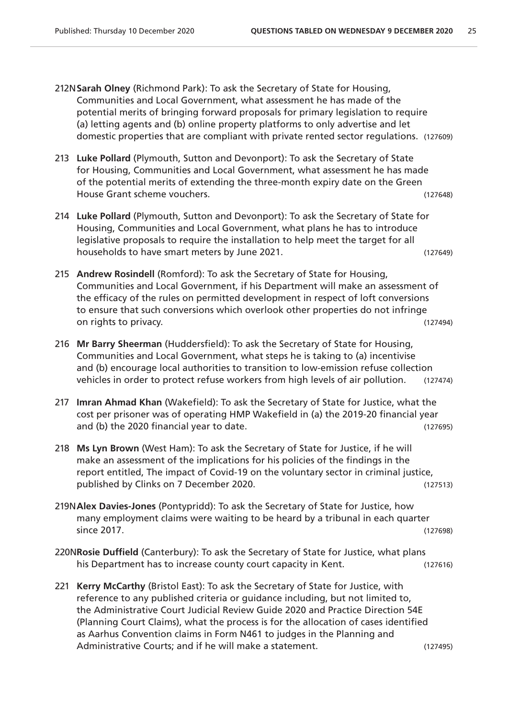- 212N**Sarah Olney** (Richmond Park): To ask the Secretary of State for Housing, Communities and Local Government, what assessment he has made of the potential merits of bringing forward proposals for primary legislation to require (a) letting agents and (b) online property platforms to only advertise and let domestic properties that are compliant with private rented sector regulations. (127609)
- 213 **Luke Pollard** (Plymouth, Sutton and Devonport): To ask the Secretary of State for Housing, Communities and Local Government, what assessment he has made of the potential merits of extending the three-month expiry date on the Green House Grant scheme vouchers. (127648)
- 214 **Luke Pollard** (Plymouth, Sutton and Devonport): To ask the Secretary of State for Housing, Communities and Local Government, what plans he has to introduce legislative proposals to require the installation to help meet the target for all households to have smart meters by June 2021. (127649)
- 215 **Andrew Rosindell** (Romford): To ask the Secretary of State for Housing, Communities and Local Government, if his Department will make an assessment of the efficacy of the rules on permitted development in respect of loft conversions to ensure that such conversions which overlook other properties do not infringe on rights to privacy. (127494)
- 216 **Mr Barry Sheerman** (Huddersfield): To ask the Secretary of State for Housing, Communities and Local Government, what steps he is taking to (a) incentivise and (b) encourage local authorities to transition to low-emission refuse collection vehicles in order to protect refuse workers from high levels of air pollution. (127474)
- 217 **Imran Ahmad Khan** (Wakefield): To ask the Secretary of State for Justice, what the cost per prisoner was of operating HMP Wakefield in (a) the 2019-20 financial year and (b) the 2020 financial year to date. (127695)
- 218 **Ms Lyn Brown** (West Ham): To ask the Secretary of State for Justice, if he will make an assessment of the implications for his policies of the findings in the report entitled, The impact of Covid-19 on the voluntary sector in criminal justice, published by Clinks on 7 December 2020. (127513)
- 219N**Alex Davies-Jones** (Pontypridd): To ask the Secretary of State for Justice, how many employment claims were waiting to be heard by a tribunal in each quarter since 2017. (127698)
- 220N**Rosie Duffield** (Canterbury): To ask the Secretary of State for Justice, what plans his Department has to increase county court capacity in Kent. (127616)
- 221 **Kerry McCarthy** (Bristol East): To ask the Secretary of State for Justice, with reference to any published criteria or guidance including, but not limited to, the Administrative Court Judicial Review Guide 2020 and Practice Direction 54E (Planning Court Claims), what the process is for the allocation of cases identified as Aarhus Convention claims in Form N461 to judges in the Planning and Administrative Courts; and if he will make a statement. (127495)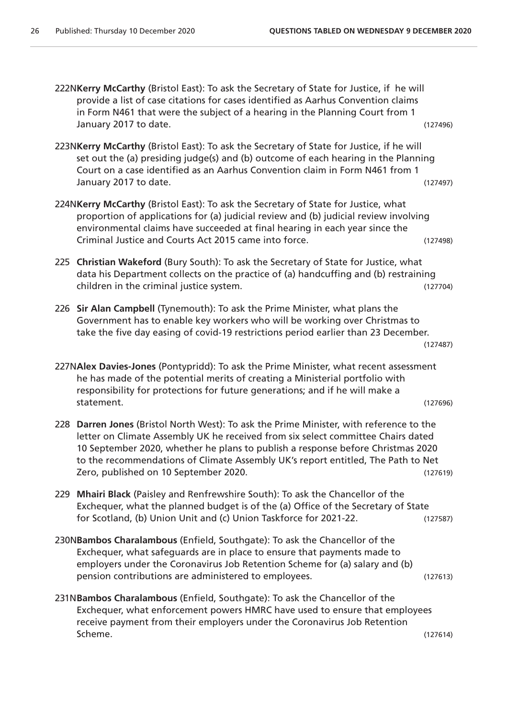222N**Kerry McCarthy** (Bristol East): To ask the Secretary of State for Justice, if he will provide a list of case citations for cases identified as Aarhus Convention claims in Form N461 that were the subject of a hearing in the Planning Court from 1 January 2017 to date. (127496)

- 223N**Kerry McCarthy** (Bristol East): To ask the Secretary of State for Justice, if he will set out the (a) presiding judge(s) and (b) outcome of each hearing in the Planning Court on a case identified as an Aarhus Convention claim in Form N461 from 1 January 2017 to date. (127497)
- 224N**Kerry McCarthy** (Bristol East): To ask the Secretary of State for Justice, what proportion of applications for (a) judicial review and (b) judicial review involving environmental claims have succeeded at final hearing in each year since the Criminal Justice and Courts Act 2015 came into force. (127498)
- 225 **Christian Wakeford** (Bury South): To ask the Secretary of State for Justice, what data his Department collects on the practice of (a) handcuffing and (b) restraining children in the criminal justice system. (127704)
- 226 **Sir Alan Campbell** (Tynemouth): To ask the Prime Minister, what plans the Government has to enable key workers who will be working over Christmas to take the five day easing of covid-19 restrictions period earlier than 23 December.

```
(127487)
```
- 227N**Alex Davies-Jones** (Pontypridd): To ask the Prime Minister, what recent assessment he has made of the potential merits of creating a Ministerial portfolio with responsibility for protections for future generations; and if he will make a statement. (127696)
- 228 **Darren Jones** (Bristol North West): To ask the Prime Minister, with reference to the letter on Climate Assembly UK he received from six select committee Chairs dated 10 September 2020, whether he plans to publish a response before Christmas 2020 to the recommendations of Climate Assembly UK's report entitled, The Path to Net Zero, published on 10 September 2020. (127619)
- 229 **Mhairi Black** (Paisley and Renfrewshire South): To ask the Chancellor of the Exchequer, what the planned budget is of the (a) Office of the Secretary of State for Scotland, (b) Union Unit and (c) Union Taskforce for 2021-22. (127587)
- 230N**Bambos Charalambous** (Enfield, Southgate): To ask the Chancellor of the Exchequer, what safeguards are in place to ensure that payments made to employers under the Coronavirus Job Retention Scheme for (a) salary and (b) pension contributions are administered to employees. (127613)
- 231N**Bambos Charalambous** (Enfield, Southgate): To ask the Chancellor of the Exchequer, what enforcement powers HMRC have used to ensure that employees receive payment from their employers under the Coronavirus Job Retention Scheme. (127614)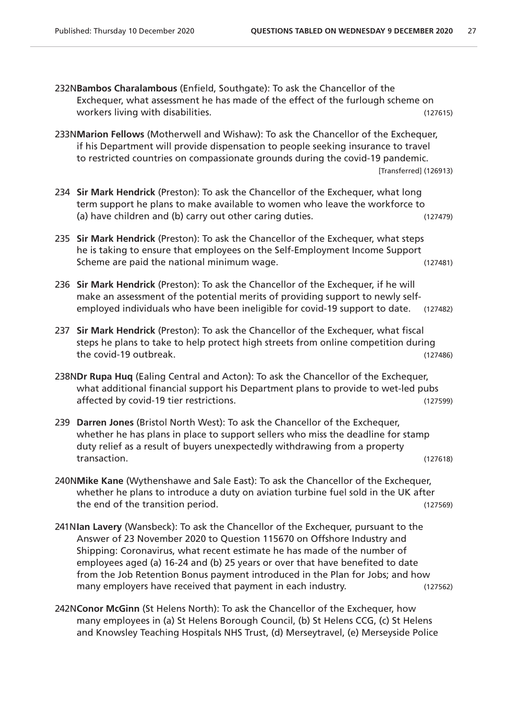- 232N**Bambos Charalambous** (Enfield, Southgate): To ask the Chancellor of the Exchequer, what assessment he has made of the effect of the furlough scheme on workers living with disabilities. The contract of the contract of the contract of the contract of the contract of the contract of the contract of the contract of the contract of the contract of the contract of the contract
- 233N**Marion Fellows** (Motherwell and Wishaw): To ask the Chancellor of the Exchequer, if his Department will provide dispensation to people seeking insurance to travel to restricted countries on compassionate grounds during the covid-19 pandemic. [Transferred] (126913)
- 234 **Sir Mark Hendrick** (Preston): To ask the Chancellor of the Exchequer, what long term support he plans to make available to women who leave the workforce to (a) have children and (b) carry out other caring duties. (127479)
- 235 **Sir Mark Hendrick** (Preston): To ask the Chancellor of the Exchequer, what steps he is taking to ensure that employees on the Self-Employment Income Support Scheme are paid the national minimum wage. (127481)
- 236 **Sir Mark Hendrick** (Preston): To ask the Chancellor of the Exchequer, if he will make an assessment of the potential merits of providing support to newly selfemployed individuals who have been ineligible for covid-19 support to date. (127482)
- 237 **Sir Mark Hendrick** (Preston): To ask the Chancellor of the Exchequer, what fiscal steps he plans to take to help protect high streets from online competition during the covid-19 outbreak. (127486)
- 238N**Dr Rupa Huq** (Ealing Central and Acton): To ask the Chancellor of the Exchequer, what additional financial support his Department plans to provide to wet-led pubs affected by covid-19 tier restrictions. (127599)
- 239 **Darren Jones** (Bristol North West): To ask the Chancellor of the Exchequer, whether he has plans in place to support sellers who miss the deadline for stamp duty relief as a result of buyers unexpectedly withdrawing from a property transaction. (127618)
- 240N**Mike Kane** (Wythenshawe and Sale East): To ask the Chancellor of the Exchequer, whether he plans to introduce a duty on aviation turbine fuel sold in the UK after the end of the transition period. The same state of the transition period.
- 241N**Ian Lavery** (Wansbeck): To ask the Chancellor of the Exchequer, pursuant to the Answer of 23 November 2020 to Question 115670 on Offshore Industry and Shipping: Coronavirus, what recent estimate he has made of the number of employees aged (a) 16-24 and (b) 25 years or over that have benefited to date from the Job Retention Bonus payment introduced in the Plan for Jobs; and how many employers have received that payment in each industry. (127562)
- 242N**Conor McGinn** (St Helens North): To ask the Chancellor of the Exchequer, how many employees in (a) St Helens Borough Council, (b) St Helens CCG, (c) St Helens and Knowsley Teaching Hospitals NHS Trust, (d) Merseytravel, (e) Merseyside Police